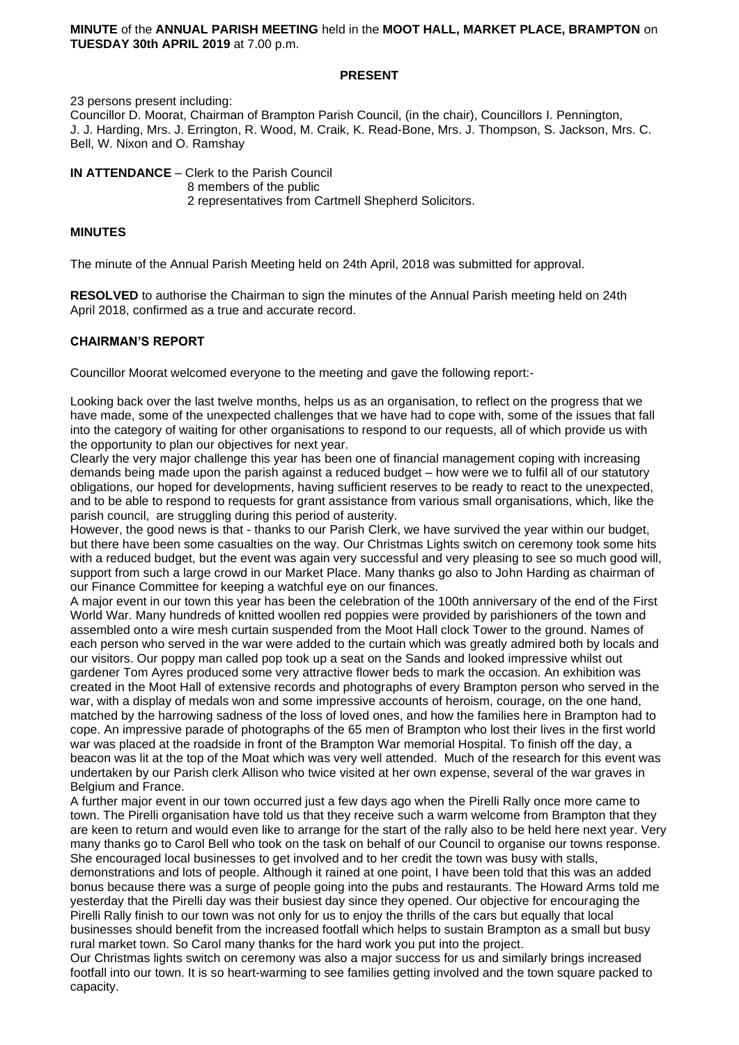#### **MINUTE** of the **ANNUAL PARISH MEETING** held in the **MOOT HALL, MARKET PLACE, BRAMPTON** on **TUESDAY 30th APRIL 2019** at 7.00 p.m.

### **PRESENT**

23 persons present including:

Councillor D. Moorat, Chairman of Brampton Parish Council, (in the chair), Councillors I. Pennington, J. J. Harding, Mrs. J. Errington, R. Wood, M. Craik, K. Read-Bone, Mrs. J. Thompson, S. Jackson, Mrs. C. Bell, W. Nixon and O. Ramshay

**IN ATTENDANCE** – Clerk to the Parish Council 8 members of the public 2 representatives from Cartmell Shepherd Solicitors.

#### **MINUTES**

The minute of the Annual Parish Meeting held on 24th April, 2018 was submitted for approval.

**RESOLVED** to authorise the Chairman to sign the minutes of the Annual Parish meeting held on 24th April 2018, confirmed as a true and accurate record.

## **CHAIRMAN'S REPORT**

Councillor Moorat welcomed everyone to the meeting and gave the following report:-

Looking back over the last twelve months, helps us as an organisation, to reflect on the progress that we have made, some of the unexpected challenges that we have had to cope with, some of the issues that fall into the category of waiting for other organisations to respond to our requests, all of which provide us with the opportunity to plan our objectives for next year.

Clearly the very major challenge this year has been one of financial management coping with increasing demands being made upon the parish against a reduced budget – how were we to fulfil all of our statutory obligations, our hoped for developments, having sufficient reserves to be ready to react to the unexpected, and to be able to respond to requests for grant assistance from various small organisations, which, like the parish council, are struggling during this period of austerity.

However, the good news is that - thanks to our Parish Clerk, we have survived the year within our budget, but there have been some casualties on the way. Our Christmas Lights switch on ceremony took some hits with a reduced budget, but the event was again very successful and very pleasing to see so much good will, support from such a large crowd in our Market Place. Many thanks go also to John Harding as chairman of our Finance Committee for keeping a watchful eye on our finances.

A major event in our town this year has been the celebration of the 100th anniversary of the end of the First World War. Many hundreds of knitted woollen red poppies were provided by parishioners of the town and assembled onto a wire mesh curtain suspended from the Moot Hall clock Tower to the ground. Names of each person who served in the war were added to the curtain which was greatly admired both by locals and our visitors. Our poppy man called pop took up a seat on the Sands and looked impressive whilst out gardener Tom Ayres produced some very attractive flower beds to mark the occasion. An exhibition was created in the Moot Hall of extensive records and photographs of every Brampton person who served in the war, with a display of medals won and some impressive accounts of heroism, courage, on the one hand, matched by the harrowing sadness of the loss of loved ones, and how the families here in Brampton had to cope. An impressive parade of photographs of the 65 men of Brampton who lost their lives in the first world war was placed at the roadside in front of the Brampton War memorial Hospital. To finish off the day, a beacon was lit at the top of the Moat which was very well attended. Much of the research for this event was undertaken by our Parish clerk Allison who twice visited at her own expense, several of the war graves in Belgium and France.

A further major event in our town occurred just a few days ago when the Pirelli Rally once more came to town. The Pirelli organisation have told us that they receive such a warm welcome from Brampton that they are keen to return and would even like to arrange for the start of the rally also to be held here next year. Very many thanks go to Carol Bell who took on the task on behalf of our Council to organise our towns response. She encouraged local businesses to get involved and to her credit the town was busy with stalls,

demonstrations and lots of people. Although it rained at one point, I have been told that this was an added bonus because there was a surge of people going into the pubs and restaurants. The Howard Arms told me yesterday that the Pirelli day was their busiest day since they opened. Our objective for encouraging the Pirelli Rally finish to our town was not only for us to enjoy the thrills of the cars but equally that local businesses should benefit from the increased footfall which helps to sustain Brampton as a small but busy rural market town. So Carol many thanks for the hard work you put into the project.

Our Christmas lights switch on ceremony was also a major success for us and similarly brings increased footfall into our town. It is so heart-warming to see families getting involved and the town square packed to capacity.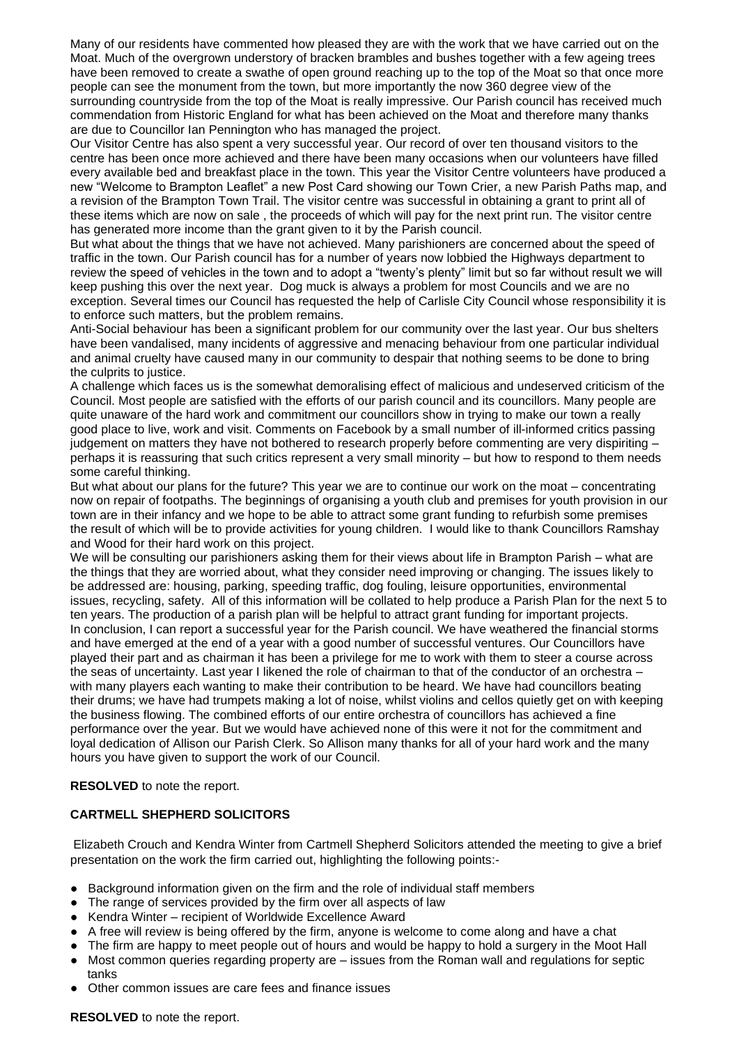Many of our residents have commented how pleased they are with the work that we have carried out on the Moat. Much of the overgrown understory of bracken brambles and bushes together with a few ageing trees have been removed to create a swathe of open ground reaching up to the top of the Moat so that once more people can see the monument from the town, but more importantly the now 360 degree view of the surrounding countryside from the top of the Moat is really impressive. Our Parish council has received much commendation from Historic England for what has been achieved on the Moat and therefore many thanks are due to Councillor Ian Pennington who has managed the project.

Our Visitor Centre has also spent a very successful year. Our record of over ten thousand visitors to the centre has been once more achieved and there have been many occasions when our volunteers have filled every available bed and breakfast place in the town. This year the Visitor Centre volunteers have produced a new "Welcome to Brampton Leaflet" a new Post Card showing our Town Crier, a new Parish Paths map, and a revision of the Brampton Town Trail. The visitor centre was successful in obtaining a grant to print all of these items which are now on sale , the proceeds of which will pay for the next print run. The visitor centre has generated more income than the grant given to it by the Parish council.

But what about the things that we have not achieved. Many parishioners are concerned about the speed of traffic in the town. Our Parish council has for a number of years now lobbied the Highways department to review the speed of vehicles in the town and to adopt a "twenty's plenty" limit but so far without result we will keep pushing this over the next year. Dog muck is always a problem for most Councils and we are no exception. Several times our Council has requested the help of Carlisle City Council whose responsibility it is to enforce such matters, but the problem remains.

Anti-Social behaviour has been a significant problem for our community over the last year. Our bus shelters have been vandalised, many incidents of aggressive and menacing behaviour from one particular individual and animal cruelty have caused many in our community to despair that nothing seems to be done to bring the culprits to justice.

A challenge which faces us is the somewhat demoralising effect of malicious and undeserved criticism of the Council. Most people are satisfied with the efforts of our parish council and its councillors. Many people are quite unaware of the hard work and commitment our councillors show in trying to make our town a really good place to live, work and visit. Comments on Facebook by a small number of ill-informed critics passing judgement on matters they have not bothered to research properly before commenting are very dispiriting – perhaps it is reassuring that such critics represent a very small minority – but how to respond to them needs some careful thinking.

But what about our plans for the future? This year we are to continue our work on the moat – concentrating now on repair of footpaths. The beginnings of organising a youth club and premises for youth provision in our town are in their infancy and we hope to be able to attract some grant funding to refurbish some premises the result of which will be to provide activities for young children. I would like to thank Councillors Ramshay and Wood for their hard work on this project.

We will be consulting our parishioners asking them for their views about life in Brampton Parish – what are the things that they are worried about, what they consider need improving or changing. The issues likely to be addressed are: housing, parking, speeding traffic, dog fouling, leisure opportunities, environmental issues, recycling, safety. All of this information will be collated to help produce a Parish Plan for the next 5 to ten years. The production of a parish plan will be helpful to attract grant funding for important projects. In conclusion, I can report a successful year for the Parish council. We have weathered the financial storms and have emerged at the end of a year with a good number of successful ventures. Our Councillors have played their part and as chairman it has been a privilege for me to work with them to steer a course across the seas of uncertainty. Last year I likened the role of chairman to that of the conductor of an orchestra – with many players each wanting to make their contribution to be heard. We have had councillors beating their drums; we have had trumpets making a lot of noise, whilst violins and cellos quietly get on with keeping the business flowing. The combined efforts of our entire orchestra of councillors has achieved a fine performance over the year. But we would have achieved none of this were it not for the commitment and loyal dedication of Allison our Parish Clerk. So Allison many thanks for all of your hard work and the many hours you have given to support the work of our Council.

**RESOLVED** to note the report.

## **CARTMELL SHEPHERD SOLICITORS**

Elizabeth Crouch and Kendra Winter from Cartmell Shepherd Solicitors attended the meeting to give a brief presentation on the work the firm carried out, highlighting the following points:-

- Background information given on the firm and the role of individual staff members
- The range of services provided by the firm over all aspects of law
- Kendra Winter recipient of Worldwide Excellence Award
- A free will review is being offered by the firm, anyone is welcome to come along and have a chat
- The firm are happy to meet people out of hours and would be happy to hold a surgery in the Moot Hall
- Most common queries regarding property are issues from the Roman wall and regulations for septic tanks
- Other common issues are care fees and finance issues

**RESOLVED** to note the report.